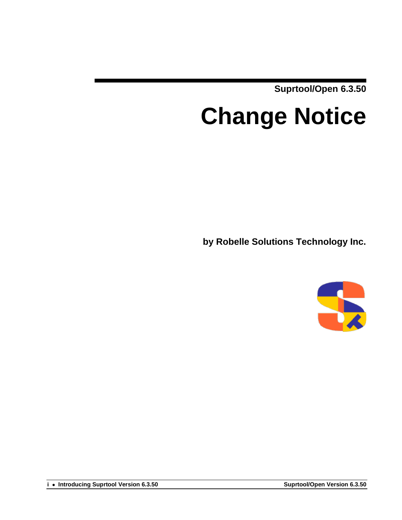**Suprtool/Open 6.3.50**

# **Change Notice**

**by Robelle Solutions Technology Inc.**

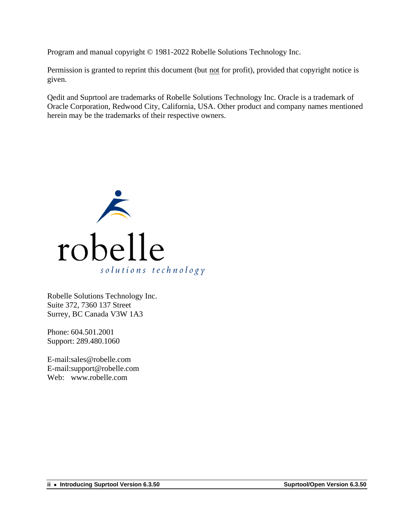Program and manual copyright © 1981-2022 Robelle Solutions Technology Inc.

Permission is granted to reprint this document (but not for profit), provided that copyright notice is given.

Qedit and Suprtool are trademarks of Robelle Solutions Technology Inc. Oracle is a trademark of Oracle Corporation, Redwood City, California, USA. Other product and company names mentioned herein may be the trademarks of their respective owners.



Robelle Solutions Technology Inc. Suite 372, 7360 137 Street Surrey, BC Canada V3W 1A3

Phone: 604.501.2001 Support: 289.480.1060

E-mail:sales@robelle.com E-mail:support@robelle.com Web: www.robelle.com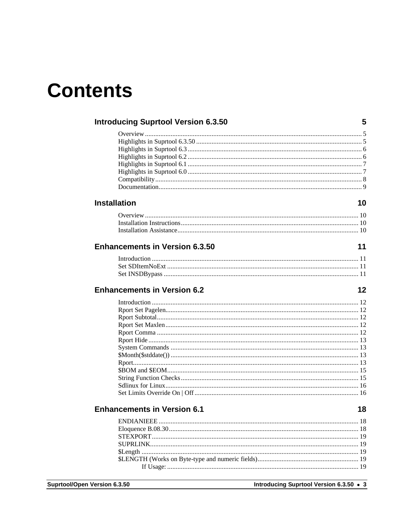## **Contents**

|                | <b>Introducing Suprtool Version 6.3.50</b> | 5  |
|----------------|--------------------------------------------|----|
|                |                                            |    |
|                |                                            |    |
|                |                                            |    |
|                |                                            |    |
|                |                                            |    |
|                |                                            |    |
|                |                                            |    |
|                |                                            |    |
|                | <b>Installation</b>                        | 10 |
|                |                                            |    |
|                |                                            |    |
|                |                                            |    |
|                |                                            |    |
|                | <b>Enhancements in Version 6.3.50</b>      | 11 |
|                |                                            |    |
|                |                                            |    |
|                |                                            |    |
|                | <b>Enhancements in Version 6.2</b>         | 12 |
|                |                                            |    |
|                |                                            |    |
|                |                                            |    |
|                |                                            |    |
|                |                                            |    |
|                |                                            |    |
|                |                                            |    |
|                |                                            |    |
|                |                                            |    |
|                |                                            |    |
|                |                                            |    |
|                |                                            |    |
|                |                                            |    |
|                | <b>Enhancements in Version 6.1</b>         | 18 |
|                |                                            |    |
|                |                                            |    |
|                |                                            |    |
|                |                                            |    |
|                |                                            |    |
|                |                                            |    |
|                |                                            |    |
| Version 6.3.50 | Introducing Suprtool Version 6.3.50 • 3    |    |

**Introducing Suprtool Version 6.3.50 • 3**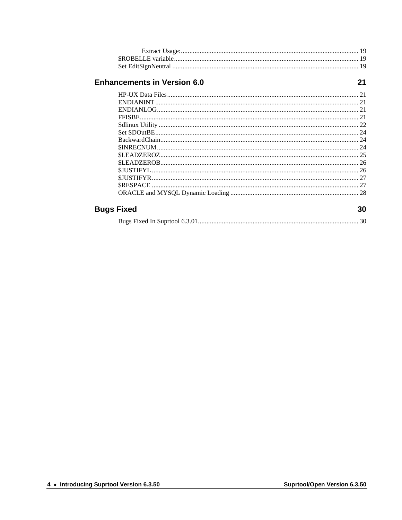#### **Enhancements in Version 6.0**

 $21$ 

| Fixed | 30 |
|-------|----|
|       |    |
|       | 27 |
|       |    |
|       |    |
|       |    |
|       |    |
|       |    |
|       |    |
|       |    |
|       |    |
|       |    |
|       |    |
|       |    |
|       |    |

#### **Bugs Fixed**

|--|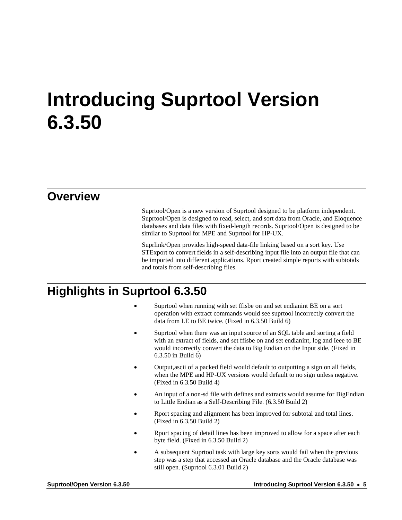## <span id="page-4-0"></span>**Introducing Suprtool Version 6.3.50**

#### <span id="page-4-1"></span>**Overview**

Suprtool/Open is a new version of Suprtool designed to be platform independent. Suprtool/Open is designed to read, select, and sort data from Oracle, and Eloquence databases and data files with fixed-length records. Suprtool/Open is designed to be similar to Suprtool for MPE and Suprtool for HP-UX.

Suprlink/Open provides high-speed data-file linking based on a sort key. Use STExport to convert fields in a self-describing input file into an output file that can be imported into different applications. Rport created simple reports with subtotals and totals from self-describing files.

## <span id="page-4-2"></span>**Highlights in Suprtool 6.3.50**

- Suprtool when running with set ffisbe on and set endianint BE on a sort operation with extract commands would see suprtool incorrectly convert the data from LE to BE twice. (Fixed in 6.3.50 Build 6)
- Suprtool when there was an input source of an SQL table and sorting a field with an extract of fields, and set ffisbe on and set endianint, log and Ieee to BE would incorrectly convert the data to Big Endian on the Input side. (Fixed in 6.3.50 in Build 6)
- Output,ascii of a packed field would default to outputting a sign on all fields, when the MPE and HP-UX versions would default to no sign unless negative. (Fixed in 6.3.50 Build 4)
- An input of a non-sd file with defines and extracts would assume for BigEndian to Little Endian as a Self-Describing File. (6.3.50 Build 2)
- Rport spacing and alignment has been improved for subtotal and total lines. (Fixed in 6.3.50 Build 2)
- Rport spacing of detail lines has been improved to allow for a space after each byte field. (Fixed in 6.3.50 Build 2)
- A subsequent Suprtool task with large key sorts would fail when the previous step was a step that accessed an Oracle database and the Oracle database was still open. (Suprtool 6.3.01 Build 2)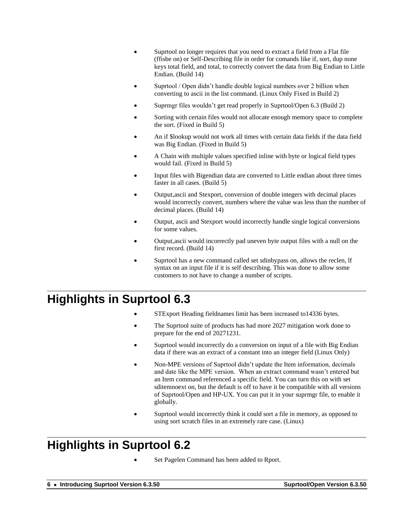- Suprtool no longer requires that you need to extract a field from a Flat file (ffisbe on) or Self-Describing file in order for comands like if, sort, dup none keys total field, and total, to correctly convert the data from Big Endian to Little Endian. (Build 14)
- Suprtool / Open didn't handle double logical numbers over 2 billion when converting to ascii in the list command. (Linux Only Fixed in Build 2)
- Suprmgr files wouldn't get read properly in Suprtool/Open 6.3 (Build 2)
- Sorting with certain files would not allocate enough memory space to complete the sort. (Fixed in Build 5)
- An if \$lookup would not work all times with certain data fields if the data field was Big Endian. (Fixed in Build 5)
- A Chain with multiple values specified inline with byte or logical field types would fail. (Fixed in Build 5)
- Input files with Bigendian data are converted to Little endian about three times faster in all cases. (Build 5)
- Output,ascii and Stexport, conversion of double integers with decimal places would incorrectly convert, numbers where the value was less than the number of decimal places. (Build 14)
- Output, ascii and Stexport would incorrectly handle single logical conversions for some values.
- Output,ascii would incorrectly pad uneven byte output files with a null on the first record. (Build 14)
- Suprtool has a new command called set sdinbypass on, allows the reclen, lf syntax on an input file if it is self describing. This was done to allow some customers to not have to change a number of scripts.

## <span id="page-5-0"></span>**Highlights in Suprtool 6.3**

- STExport Heading fieldnames limit has been increased to 14336 bytes.
- The Suprtool suite of products has had more 2027 mitigation work done to prepare for the end of 20271231.
- Suprtool would incorrectly do a conversion on input of a file with Big Endian data if there was an extract of a constant into an integer field (Linux Only)
- Non-MPE versions of Suprtool didn't update the Item information, decimals and date like the MPE version. When an extract command wasn't entered but an Item command referenced a specific field. You can turn this on with set sditemnoext on, but the default is off to have it be compatible with all versions of Suprtool/Open and HP-UX. You can put it in your suprmgr file, to enable it globally.
- Suprtool would incorrectly think it could sort a file in memory, as opposed to using sort scratch files in an extremely rare case. (Linux)

## <span id="page-5-1"></span>**Highlights in Suprtool 6.2**

• Set Pagelen Command has been added to Rport.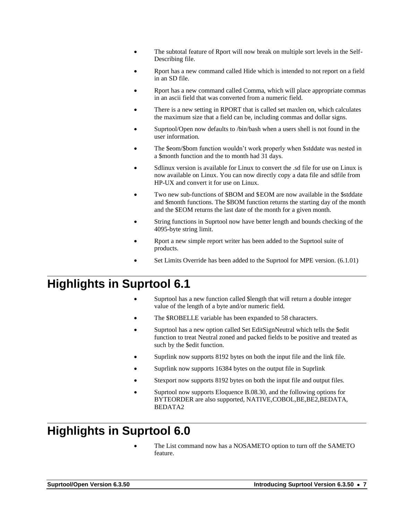- The subtotal feature of Rport will now break on multiple sort levels in the Self-Describing file.
- Rport has a new command called Hide which is intended to not report on a field in an SD file.
- Rport has a new command called Comma, which will place appropriate commas in an ascii field that was converted from a numeric field.
- There is a new setting in RPORT that is called set maxlen on, which calculates the maximum size that a field can be, including commas and dollar signs.
- Suprtool/Open now defaults to /bin/bash when a users shell is not found in the user information.
- The \$eom/\$bom function wouldn't work properly when \$stddate was nested in a \$month function and the to month had 31 days.
- Sdlinux version is available for Linux to convert the .sd file for use on Linux is now available on Linux. You can now directly copy a data file and sdfile from HP-UX and convert it for use on Linux.
- Two new sub-functions of \$BOM and \$EOM are now available in the \$stddate and \$month functions. The \$BOM function returns the starting day of the month and the \$EOM returns the last date of the month for a given month.
- String functions in Suprtool now have better length and bounds checking of the 4095-byte string limit.
- Rport a new simple report writer has been added to the Suprtool suite of products.
- Set Limits Override has been added to the Suprtool for MPE version. (6.1.01)

#### <span id="page-6-0"></span>**Highlights in Suprtool 6.1**

- Suprtool has a new function called \$length that will return a double integer value of the length of a byte and/or numeric field.
- The \$ROBELLE variable has been expanded to 58 characters.
- Suprtool has a new option called Set EditSignNeutral which tells the \$edit function to treat Neutral zoned and packed fields to be positive and treated as such by the \$edit function.
- Suprlink now supports 8192 bytes on both the input file and the link file.
- Suprlink now supports 16384 bytes on the output file in Suprlink
- Stexport now supports 8192 bytes on both the input file and output files.
- Suprtool now supports Eloquence B.08.30, and the following options for BYTEORDER are also supported, NATIVE,COBOL,BE,BE2,BEDATA, BEDATA2

## <span id="page-6-1"></span>**Highlights in Suprtool 6.0**

The List command now has a NOSAMETO option to turn off the SAMETO feature.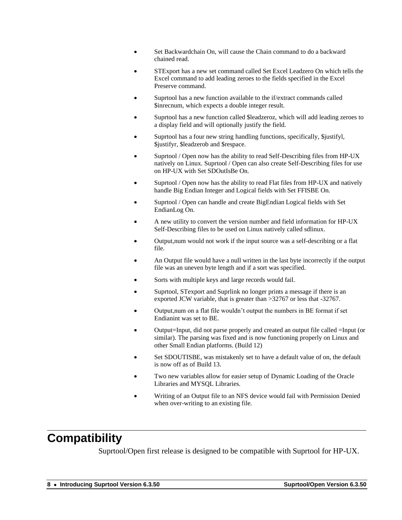- Set Backwardchain On, will cause the Chain command to do a backward chained read.
- STExport has a new set command called Set Excel Leadzero On which tells the Excel command to add leading zeroes to the fields specified in the Excel Preserve command.
- Suprtool has a new function available to the if/extract commands called \$inrecnum, which expects a double integer result.
- Suprtool has a new function called \$leadzeroz, which will add leading zeroes to a display field and will optionally justify the field.
- Suprtool has a four new string handling functions, specifically, \$justifyl, \$justifyr, \$leadzerob and \$respace.
- Suprtool / Open now has the ability to read Self-Describing files from HP-UX natively on Linux. Suprtool / Open can also create Self-Describing files for use on HP-UX with Set SDOutIsBe On.
- Suprtool / Open now has the ability to read Flat files from HP-UX and natively handle Big Endian Integer and Logical fields with Set FFISBE On.
- Suprtool / Open can handle and create BigEndian Logical fields with Set EndianLog On.
- A new utility to convert the version number and field information for HP-UX Self-Describing files to be used on Linux natively called sdlinux.
- Output,num would not work if the input source was a self-describing or a flat file.
- An Output file would have a null written in the last byte incorrectly if the output file was an uneven byte length and if a sort was specified.
- Sorts with multiple keys and large records would fail.
- Suprtool, STexport and Suprlink no longer prints a message if there is an exported JCW variable, that is greater than >32767 or less that -32767.
- Output,num on a flat file wouldn't output the numbers in BE format if set Endianint was set to BE.
- Output=Input, did not parse properly and created an output file called =Input (or similar). The parsing was fixed and is now functioning properly on Linux and other Small Endian platforms. (Build 12)
- Set SDOUTISBE, was mistakenly set to have a default value of on, the default is now off as of Build 13.
- Two new variables allow for easier setup of Dynamic Loading of the Oracle Libraries and MYSQL Libraries.
- Writing of an Output file to an NFS device would fail with Permission Denied when over-writing to an existing file.

## <span id="page-7-0"></span>**Compatibility**

Suprtool/Open first release is designed to be compatible with Suprtool for HP-UX.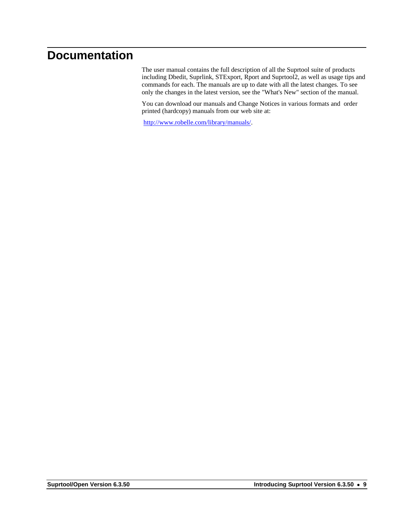## <span id="page-8-0"></span>**Documentation**

The user manual contains the full description of all the Suprtool suite of products including Dbedit, Suprlink, STExport, Rport and Suprtool2, as well as usage tips and commands for each. The manuals are up to date with all the latest changes. To see only the changes in the latest version, see the "What's New" section of the manual.

You can download our manuals and Change Notices in various formats and order printed (hardcopy) manuals from our web site at:

[http://www.robelle.com/library/manuals/.](http://www.robelle.com/library/manuals/)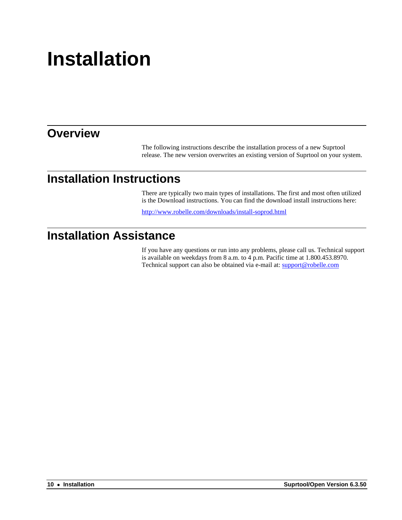# <span id="page-9-0"></span>**Installation**

#### <span id="page-9-1"></span>**Overview**

The following instructions describe the installation process of a new Suprtool release. The new version overwrites an existing version of Suprtool on your system.

#### <span id="page-9-2"></span>**Installation Instructions**

There are typically two main types of installations. The first and most often utilized is the Download instructions. You can find the download install instructions here:

<http://www.robelle.com/downloads/install-soprod.html>

#### <span id="page-9-3"></span>**Installation Assistance**

If you have any questions or run into any problems, please call us. Technical support is available on weekdays from 8 a.m. to 4 p.m. Pacific time at 1.800.453.8970. Technical support can also be obtained via e-mail at: support@robelle.com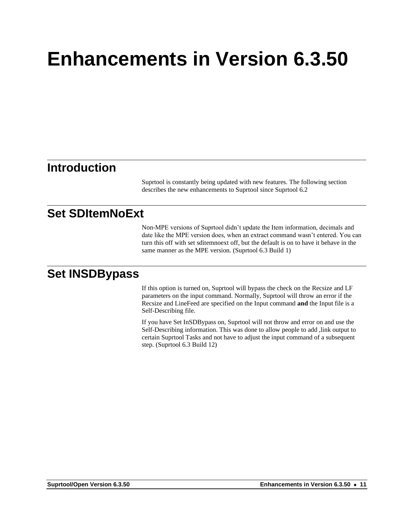# <span id="page-10-0"></span>**Enhancements in Version 6.3.50**

#### <span id="page-10-1"></span>**Introduction**

Suprtool is constantly being updated with new features. The following section describes the new enhancements to Suprtool since Suprtool 6.2

## <span id="page-10-2"></span>**Set SDItemNoExt**

Non-MPE versions of Suprtool didn't update the Item information, decimals and date like the MPE version does, when an extract command wasn't entered. You can turn this off with set sditemnoext off, but the default is on to have it behave in the same manner as the MPE version. (Suprtool 6.3 Build 1)

#### <span id="page-10-3"></span>**Set INSDBypass**

If this option is turned on, Suprtool will bypass the check on the Recsize and LF parameters on the input command. Normally, Suprtool will throw an error if the Recsize and LineFeed are specified on the Input command **and** the Input file is a Self-Describing file.

If you have Set InSDBypass on, Suprtool will not throw and error on and use the Self-Describing information. This was done to allow people to add ,link output to certain Suprtool Tasks and not have to adjust the input command of a subsequent step. (Suprtool 6.3 Build 12)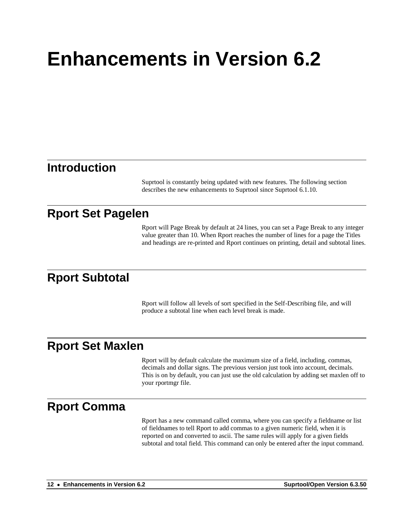# <span id="page-11-0"></span>**Enhancements in Version 6.2**

#### <span id="page-11-1"></span>**Introduction**

Suprtool is constantly being updated with new features. The following section describes the new enhancements to Suprtool since Suprtool 6.1.10.

### <span id="page-11-2"></span>**Rport Set Pagelen**

Rport will Page Break by default at 24 lines, you can set a Page Break to any integer value greater than 10. When Rport reaches the number of lines for a page the Titles and headings are re-printed and Rport continues on printing, detail and subtotal lines.

#### <span id="page-11-3"></span>**Rport Subtotal**

Rport will follow all levels of sort specified in the Self-Describing file, and will produce a subtotal line when each level break is made.

#### <span id="page-11-4"></span>**Rport Set Maxlen**

Rport will by default calculate the maximum size of a field, including, commas, decimals and dollar signs. The previous version just took into account, decimals. This is on by default, you can just use the old calculation by adding set maxlen off to your rportmgr file.

#### <span id="page-11-5"></span>**Rport Comma**

Rport has a new command called comma, where you can specify a fieldname or list of fieldnames to tell Rport to add commas to a given numeric field, when it is reported on and converted to ascii. The same rules will apply for a given fields subtotal and total field. This command can only be entered after the input command.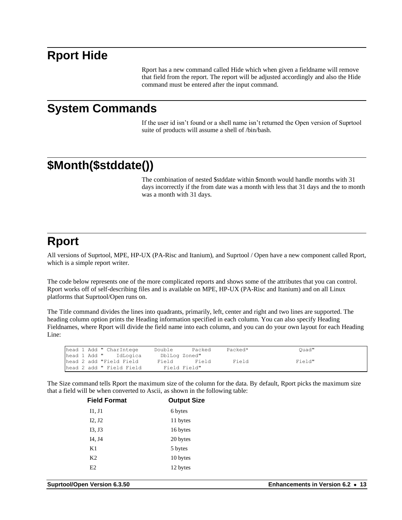#### <span id="page-12-0"></span>**Rport Hide**

Rport has a new command called Hide which when given a fieldname will remove that field from the report. The report will be adjusted accordingly and also the Hide command must be entered after the input command.

#### <span id="page-12-1"></span>**System Commands**

If the user id isn't found or a shell name isn't returned the Open version of Suprtool suite of products will assume a shell of /bin/bash.

## <span id="page-12-2"></span>**\$Month(\$stddate())**

The combination of nested \$stddate within \$month would handle months with 31 days incorrectly if the from date was a month with less that 31 days and the to month was a month with 31 days.

### <span id="page-12-3"></span>**Rport**

All versions of Suprtool, MPE, HP-UX (PA-Risc and Itanium), and Suprtool / Open have a new component called Rport, which is a simple report writer.

The code below represents one of the more complicated reports and shows some of the attributes that you can control. Rport works off of self-describing files and is available on MPE, HP-UX (PA-Risc and Itanium) and on all Linux platforms that Suprtool/Open runs on.

The Title command divides the lines into quadrants, primarily, left, center and right and two lines are supported. The heading column option prints the Heading information specified in each column. You can also specify Heading Fieldnames, where Rport will divide the field name into each column, and you can do your own layout for each Heading Line:

| head 1 Add " CharIntege  | Double        | Packed | Packed* | Ouad"  |
|--------------------------|---------------|--------|---------|--------|
| head 1 Add " IdLogica    | DblLog Zoned" |        |         |        |
| head 2 add "Field Field  | Field         | Field  | Field   | Field" |
| head 2 add " Field Field | Field Field"  |        |         |        |

The Size command tells Rport the maximum size of the column for the data. By default, Rport picks the maximum size that a field will be when converted to Ascii, as shown in the following table:

| <b>Field Format</b> | <b>Output Size</b> |
|---------------------|--------------------|
| II, J1              | 6 bytes            |
| I2, J2              | 11 bytes           |
| I3, J3              | 16 bytes           |
| I4, J4              | 20 bytes           |
| K1                  | 5 bytes            |
| K <sub>2</sub>      | 10 bytes           |
| E2                  | 12 bytes           |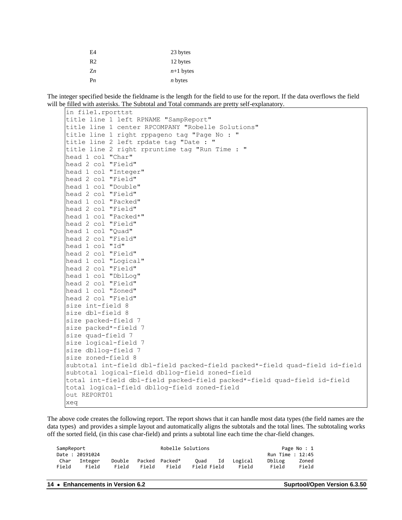| E4             | 23 bytes       |
|----------------|----------------|
| R <sub>2</sub> | 12 bytes       |
| $Z_n$          | $n+1$ bytes    |
| P <sub>n</sub> | <i>n</i> bytes |

The integer specified beside the fieldname is the length for the field to use for the report. If the data overflows the field will be filled with asterisks. The Subtotal and Total commands are pretty self-explanatory.

```
in file1.rporttst
title line 1 left RPNAME "SampReport"
title line 1 center RPCOMPANY "Robelle Solutions"
title line 1 right rppageno tag "Page No : "
title line 2 left rpdate tag "Date : " 
title line 2 right rpruntime tag "Run Time : "
head 1 col "Char"
head 2 col "Field"
head 1 col "Integer"
head 2 col "Field"
head 1 col "Double"
head 2 col "Field"
head 1 col "Packed"
head 2 col "Field"
head 1 col "Packed*"
head 2 col "Field"
head 1 col "Quad"
head 2 col "Field"
head 1 col "Id"
head 2 col "Field"
head 1 col "Logical"
head 2 col "Field"
head 1 col "DblLog"
head 2 col "Field"
head 1 col "Zoned"
head 2 col "Field"
size int-field 8
size dbl-field 8
size packed-field 7
size packed*-field 7
size quad-field 7
size logical-field 7
size dbllog-field 7
size zoned-field 8
subtotal int-field dbl-field packed-field packed*-field quad-field id-field
subtotal logical-field dbllog-field zoned-field
total int-field dbl-field packed-field packed*-field quad-field id-field
total logical-field dbllog-field zoned-field
out REPORT01
xeq
```
The above code creates the following report. The report shows that it can handle most data types (the field names are the data types) and provides a simple layout and automatically aligns the subtotals and the total lines. The subtotaling works off the sorted field, (in this case char-field) and prints a subtotal line each time the char-field changes.

| SampReport |                |        |       | Robelle Solutions |      |             |         |                  | Page No : 1 |
|------------|----------------|--------|-------|-------------------|------|-------------|---------|------------------|-------------|
|            | Date: 20191024 |        |       |                   |      |             |         | Run Time : 12:45 |             |
| Char       | Integer        | Double |       | Packed Packed*    | Ouad | Ιd          | Logical | DblLog           | Zoned       |
| Field      | Field          | Field  | Field | Field             |      | Field Field | Field   | Field            | Field       |

**14** • **Enhancements in Version 6.2 Suprtool/Open Version 6.3.50**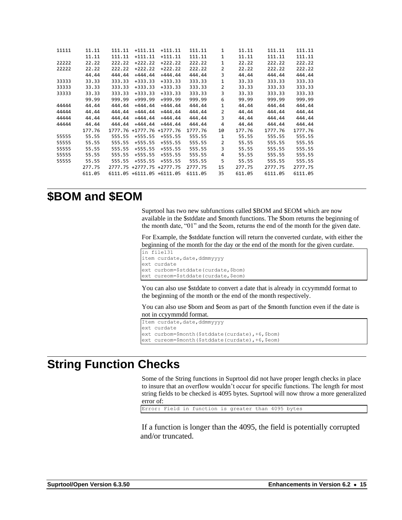| 11111 | 11.11  | 111.11  | $+111.11$         | $+111.11$  | 111.11  | 1              | 11.11  | 111.11  | 111.11  |
|-------|--------|---------|-------------------|------------|---------|----------------|--------|---------|---------|
|       | 11.11  | 111.11  | $+111.11$         | $+111.11$  | 111.11  | 1              | 11.11  | 111.11  | 111.11  |
| 22222 | 22.22  | 222.22  | $+222.22$         | $+222.22$  | 222.22  | $\mathbf{1}$   | 22.22  | 222.22  | 222.22  |
| 22222 | 22.22  | 222.22  | $+222.22$         | $+222.22$  | 222.22  | 2              | 22.22  | 222.22  | 222.22  |
|       | 44.44  | 444.44  | $+444.44$         | $+444.44$  | 444.44  | 3              | 44.44  | 444.44  | 444.44  |
| 33333 | 33.33  | 333.33  | $+333.33$         | $+333.33$  | 333.33  | $\mathbf{1}$   | 33.33  | 333.33  | 333.33  |
| 33333 | 33.33  | 333.33  | $+333.33$         | $+333.33$  | 333.33  | $\overline{2}$ | 33.33  | 333.33  | 333.33  |
| 33333 | 33.33  | 333.33  | $+333.33$         | $+333.33$  | 333.33  | 3              | 33.33  | 333.33  | 333.33  |
|       | 99.99  | 999.99  | $+999.99$         | $+999.99$  | 999.99  | 6              | 99.99  | 999.99  | 999.99  |
| 44444 | 44.44  | 444.44  | $+444.44$         | $+444.44$  | 444.44  | $\mathbf{1}$   | 44.44  | 444.44  | 444.44  |
| 44444 | 44.44  | 444.44  | $+444.44$         | $+444.44$  | 444.44  | 2              | 44.44  | 444.44  | 444.44  |
| 44444 | 44.44  | 444.44  | $+444.44$         | $+444.44$  | 444.44  | 3              | 44.44  | 444.44  | 444.44  |
| 44444 | 44.44  | 444.44  | $+444.44$         | $+444.44$  | 444.44  | 4              | 44.44  | 444.44  | 444.44  |
|       | 177.76 | 1777.76 | +1777.76          | +1777.76   | 1777.76 | 10             | 177.76 | 1777.76 | 1777.76 |
| 55555 | 55.55  | 555.55  | +555.55           | +555.55    | 555.55  | $\mathbf{1}$   | 55.55  | 555.55  | 555.55  |
| 55555 | 55.55  | 555.55  | $+555.55$         | $+555.55$  | 555.55  | $\overline{2}$ | 55.55  | 555.55  | 555.55  |
| 55555 | 55.55  | 555.55  | $+555.55$         | $+555.55$  | 555.55  | 3              | 55.55  | 555.55  | 555.55  |
| 55555 | 55.55  | 555.55  | $+555.55$         | $+555.55$  | 555.55  | 4              | 55.55  | 555.55  | 555.55  |
| 55555 | 55.55  | 555.55  | $+555.55$         | $+555.55$  | 555.55  | 5              | 55.55  | 555.55  | 555.55  |
|       | 277.75 | 2777.75 | +2777.75 +2777.75 |            | 2777.75 | 15             | 277.75 | 2777.75 | 2777.75 |
|       | 611.05 | 6111.05 | $+6111.05$        | $+6111.05$ | 6111.05 | 35             | 611.05 | 6111.05 | 6111.05 |
|       |        |         |                   |            |         |                |        |         |         |

#### <span id="page-14-0"></span>**\$BOM and \$EOM**

Suprtool has two new subfunctions called \$BOM and \$EOM which are now available in the \$stddate and \$month functions. The \$bom returns the beginning of the month date, "01" and the \$eom, returns the end of the month for the given date.

For Example, the \$stddate function will return the converted curdate, with either the beginning of the month for the day or the end of the month for the given curdate.

```
in file131
item curdate, date, ddmmyyyy
ext curdate
ext curbom=$stddate(curdate,$bom)
ext cureom=$stddate(curdate, $eom)
```
You can also use \$stddate to convert a date that is already in ccyymmdd format to the beginning of the month or the end of the month respectively.

You can also use \$bom and \$eom as part of the \$month function even if the date is not in ccyymmdd format.

```
Item curdate, date, ddmmyyyy
ext curdate
ext curbom=$month($stddate(curdate), +6, $bom)
ext cureom=$month($stddate(curdate),+6,$eom)
```
#### <span id="page-14-1"></span>**String Function Checks**

Some of the String functions in Suprtool did not have proper length checks in place to insure that an overflow wouldn't occur for specific functions. The length for most string fields to be checked is 4095 bytes. Suprtool will now throw a more generalized error of:

Error: Field in function is greater than 4095 bytes

If a function is longer than the 4095, the field is potentially corrupted and/or truncated.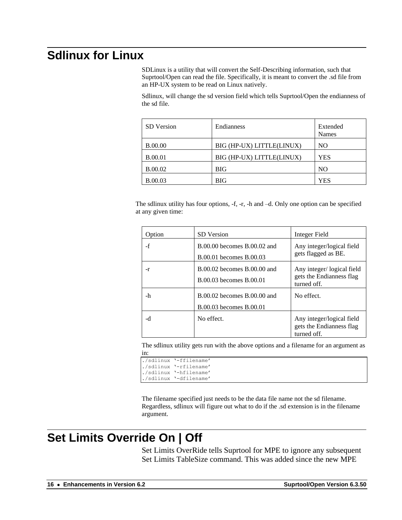## <span id="page-15-0"></span>**Sdlinux for Linux**

SDLinux is a utility that will convert the Self-Describing information, such that Suprtool/Open can read the file. Specifically, it is meant to convert the .sd file from an HP-UX system to be read on Linux natively.

Sdlinux, will change the sd version field which tells Suprtool/Open the endianness of the sd file.

| SD Version     | <b>Endianness</b>         | Extended<br><b>Names</b> |
|----------------|---------------------------|--------------------------|
| <b>B.00.00</b> | BIG (HP-UX) LITTLE(LINUX) | NO.                      |
| <b>B.00.01</b> | BIG (HP-UX) LITTLE(LINUX) | YES                      |
| <b>B.00.02</b> | BIG                       | N <sub>O</sub>           |
| <b>B.00.03</b> | BIG                       | YES                      |

The sdlinux utility has four options, -f, -r, -h and –d. Only one option can be specified at any given time:

| Option | <b>SD</b> Version                                          | Integer Field                                                        |
|--------|------------------------------------------------------------|----------------------------------------------------------------------|
| $-f$   | B.00.00 becomes B.00.02 and<br>B.00.01 becomes B.00.03     | Any integer/logical field<br>gets flagged as BE.                     |
| -r     | B.00.02 becomes B.00.00 and<br>B.00.03 becomes B.00.01     | Any integer/logical field<br>gets the Endianness flag<br>turned off. |
| -h     | $B.00.02$ becomes $B.00.00$ and<br>B.00.03 becomes B.00.01 | No effect.                                                           |
| -d     | No effect.                                                 | Any integer/logical field<br>gets the Endianness flag<br>turned off. |

The sdlinux utility gets run with the above options and a filename for an argument as in:

./sdlinux '-ffilename' ./sdlinux '-rfilename' ./sdlinux '-hfilename' ./sdlinux '-dfilename'

The filename specified just needs to be the data file name not the sd filename. Regardless, sdlinux will figure out what to do if the .sd extension is in the filename argument.

## <span id="page-15-1"></span>**Set Limits Override On | Off**

Set Limits OverRide tells Suprtool for MPE to ignore any subsequent Set Limits TableSize command. This was added since the new MPE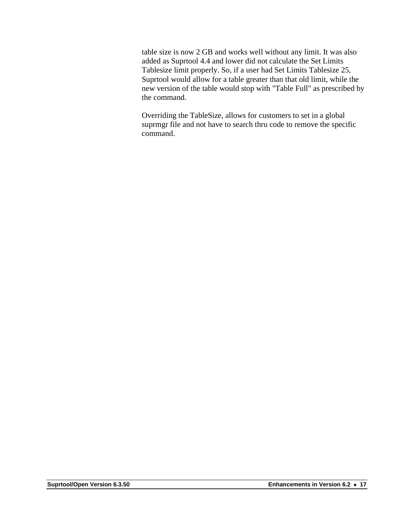table size is now 2 GB and works well without any limit. It was also added as Suprtool 4.4 and lower did not calculate the Set Limits Tablesize limit properly. So, if a user had Set Limits Tablesize 25, Suprtool would allow for a table greater than that old limit, while the new version of the table would stop with "Table Full" as prescribed by the command.

Overriding the TableSize, allows for customers to set in a global suprmgr file and not have to search thru code to remove the specific command.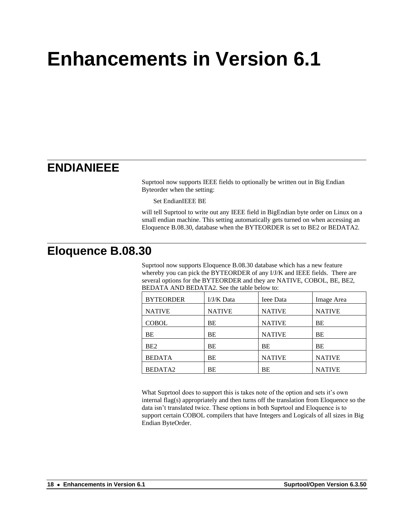# <span id="page-17-0"></span>**Enhancements in Version 6.1**

## <span id="page-17-1"></span>**ENDIANIEEE**

Suprtool now supports IEEE fields to optionally be written out in Big Endian Byteorder when the setting:

Set EndianIEEE BE

will tell Suprtool to write out any IEEE field in BigEndian byte order on Linux on a small endian machine. This setting automatically gets turned on when accessing an Eloquence B.08.30, database when the BYTEORDER is set to BE2 or BEDATA2.

### <span id="page-17-2"></span>**Eloquence B.08.30**

Suprtool now supports Eloquence B.08.30 database which has a new feature whereby you can pick the BYTEORDER of any I/J/K and IEEE fields. There are several options for the BYTEORDER and they are NATIVE, COBOL, BE, BE2, BEDATA AND BEDATA2. See the table below to:

| <b>BYTEORDER</b>    | I/J/K Data    | <b>Ieee Data</b> | Image Area    |
|---------------------|---------------|------------------|---------------|
| <b>NATIVE</b>       | <b>NATIVE</b> | <b>NATIVE</b>    | <b>NATIVE</b> |
| <b>COBOL</b>        | BE            | <b>NATIVE</b>    | BE            |
| BE                  | BE            | <b>NATIVE</b>    | BE            |
| BE <sub>2</sub>     | BE            | ВE               | BE            |
| <b>BEDATA</b>       | BE            | <b>NATIVE</b>    | <b>NATIVE</b> |
| BEDATA <sub>2</sub> | BE            | BE               | <b>NATIVE</b> |

What Suprtool does to support this is takes note of the option and sets it's own internal flag(s) appropriately and then turns off the translation from Eloquence so the data isn't translated twice. These options in both Suprtool and Eloquence is to support certain COBOL compilers that have Integers and Logicals of all sizes in Big Endian ByteOrder.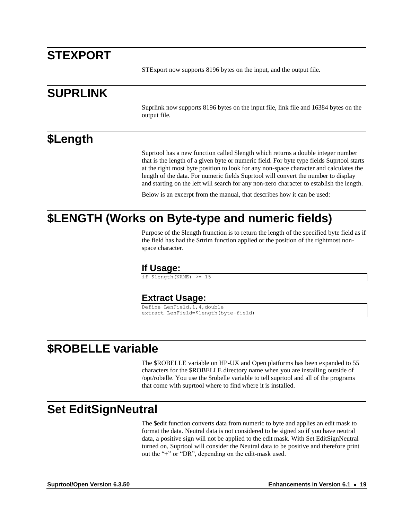## <span id="page-18-0"></span>**STEXPORT**

STExport now supports 8196 bytes on the input, and the output file.

### <span id="page-18-1"></span>**SUPRLINK**

Suprlink now supports 8196 bytes on the input file, link file and 16384 bytes on the output file.

## <span id="page-18-2"></span>**\$Length**

Suprtool has a new function called \$length which returns a double integer number that is the length of a given byte or numeric field. For byte type fields Suprtool starts at the right most byte position to look for any non-space character and calculates the length of the data. For numeric fields Suprtool will convert the number to display and starting on the left will search for any non-zero character to establish the length.

Below is an excerpt from the manual, that describes how it can be used:

### <span id="page-18-4"></span><span id="page-18-3"></span>**\$LENGTH (Works on Byte-type and numeric fields)**

Purpose of the \$length frunction is to return the length of the specified byte field as if the field has had the \$rtrim function applied or the position of the rightmost nonspace character.

#### **If Usage:**

if \$length(NAME) >= 15

#### **Extract Usage:**

Define LenField,1,4,double extract LenField=\$length(byte-field)

## <span id="page-18-6"></span><span id="page-18-5"></span>**\$ROBELLE variable**

The \$ROBELLE variable on HP-UX and Open platforms has been expanded to 55 characters for the \$ROBELLE directory name when you are installing outside of /opt/robelle. You use the \$robelle variable to tell suprtool and all of the programs that come with suprtool where to find where it is installed.

#### <span id="page-18-7"></span>**Set EditSignNeutral**

The \$edit function converts data from numeric to byte and applies an edit mask to format the data. Neutral data is not considered to be signed so if you have neutral data, a positive sign will not be applied to the edit mask. With Set EditSignNeutral turned on, Suprtool will consider the Neutral data to be positive and therefore print out the "+" or "DR", depending on the edit-mask used.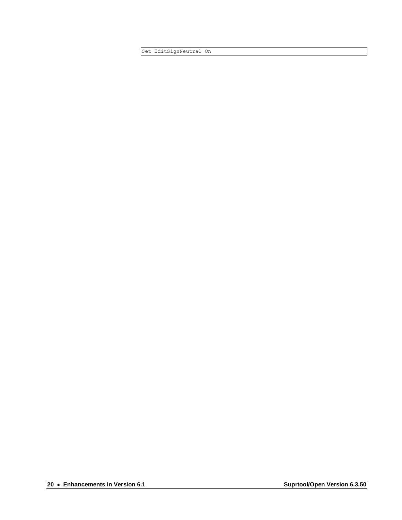Set EditSignNeutral On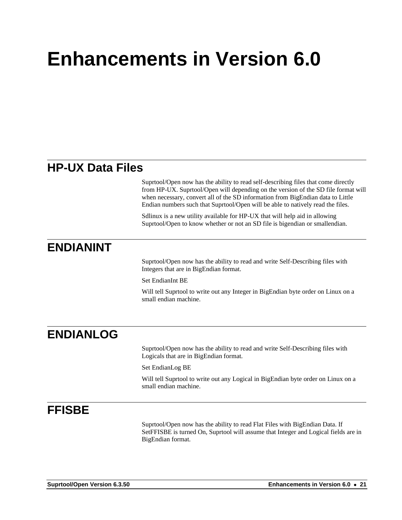# <span id="page-20-0"></span>**Enhancements in Version 6.0**

## <span id="page-20-1"></span>**HP-UX Data Files**

Suprtool/Open now has the ability to read self-describing files that come directly from HP-UX. Suprtool/Open will depending on the version of the SD file format will when necessary, convert all of the SD information from BigEndian data to Little Endian numbers such that Suprtool/Open will be able to natively read the files.

Sdlinux is a new utility available for HP-UX that will help aid in allowing Suprtool/Open to know whether or not an SD file is bigendian or smallendian.

## <span id="page-20-2"></span>**ENDIANINT**

Suprtool/Open now has the ability to read and write Self-Describing files with Integers that are in BigEndian format.

Set EndianInt BE

Will tell Suprtool to write out any Integer in BigEndian byte order on Linux on a small endian machine.

## <span id="page-20-3"></span>**ENDIANLOG**

Suprtool/Open now has the ability to read and write Self-Describing files with Logicals that are in BigEndian format.

Set EndianLog BE

Will tell Suprtool to write out any Logical in BigEndian byte order on Linux on a small endian machine.

## <span id="page-20-4"></span>**FFISBE**

Suprtool/Open now has the ability to read Flat Files with BigEndian Data. If SetFFISBE is turned On, Suprtool will assume that Integer and Logical fields are in BigEndian format.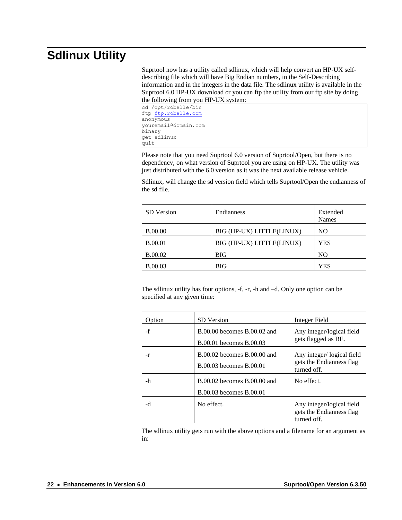## <span id="page-21-0"></span>**Sdlinux Utility**

Suprtool now has a utility called sdlinux, which will help convert an HP-UX selfdescribing file which will have Big Endian numbers, in the Self-Describing information and in the integers in the data file. The sdlinux utility is available in the Suprtool 6.0 HP-UX download or you can ftp the utility from our ftp site by doing the following from you HP-UX system:

cd /opt/robelle/bin ftp [ftp.robelle.com](ftp://ftp.robelle.com/) anonymous youremail@domain.com binary get sdlinux quit

Please note that you need Suprtool 6.0 version of Suprtool/Open, but there is no dependency, on what version of Suprtool you are using on HP-UX. The utility was just distributed with the 6.0 version as it was the next available release vehicle.

Sdlinux, will change the sd version field which tells Suprtool/Open the endianness of the sd file.

| <b>SD</b> Version | Endianness                | Extended<br>Names |
|-------------------|---------------------------|-------------------|
| <b>B.00.00</b>    | BIG (HP-UX) LITTLE(LINUX) | NO                |
| <b>B.00.01</b>    | BIG (HP-UX) LITTLE(LINUX) | <b>YES</b>        |
| <b>B.00.02</b>    | <b>BIG</b>                | NO <sub>1</sub>   |
| <b>B.00.03</b>    | BIG                       | <b>YES</b>        |

The sdlinux utility has four options, -f, -r, -h and –d. Only one option can be specified at any given time:

| Option | <b>SD</b> Version                                      | <b>Integer Field</b>                                                 |
|--------|--------------------------------------------------------|----------------------------------------------------------------------|
| $-f$   | B.00.00 becomes B.00.02 and<br>B.00.01 becomes B.00.03 | Any integer/logical field<br>gets flagged as BE.                     |
| -r     | B.00.02 becomes B.00.00 and<br>B.00.03 becomes B.00.01 | Any integer/logical field<br>gets the Endianness flag<br>turned off. |
| -h     | B.00.02 becomes B.00.00 and<br>B.00.03 becomes B.00.01 | No effect.                                                           |
| -d     | No effect.                                             | Any integer/logical field<br>gets the Endianness flag<br>turned off. |

The sdlinux utility gets run with the above options and a filename for an argument as in: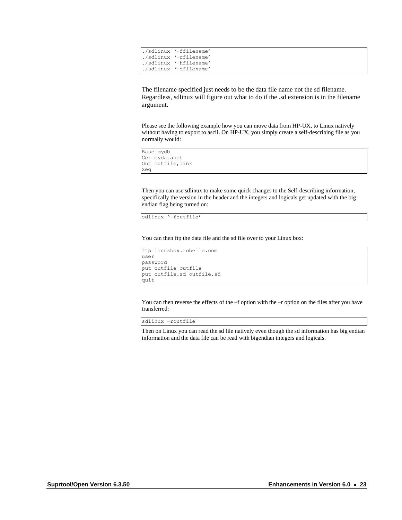|  | ./sdlinux '-ffilename' |
|--|------------------------|
|  | ./sdlinux '-rfilename' |
|  | ./sdlinux '-hfilename' |
|  | ./sdlinux '-dfilename' |

The filename specified just needs to be the data file name not the sd filename. Regardless, sdlinux will figure out what to do if the .sd extension is in the filename argument.

Please see the following example how you can move data from HP-UX, to Linux natively without having to export to ascii. On HP-UX, you simply create a self-describing file as you normally would:

```
Base mydb
Get mydataset
Out outfile,link
Xeq
```
Then you can use sdlinux to make some quick changes to the Self-describing information, specifically the version in the header and the integers and logicals get updated with the big endian flag being turned on:

sdlinux '-foutfile'

You can then ftp the data file and the sd file over to your Linux box:

```
ftp linuxbox.robelle.com
user
password
put outfile outfile
put outfile.sd outfile.sd
quit
```
You can then reverse the effects of the –f option with the –r option on the files after you have transferred:

sdlinux -routfile

Then on Linux you can read the sd file natively even though the sd information has big endian information and the data file can be read with bigendian integers and logicals.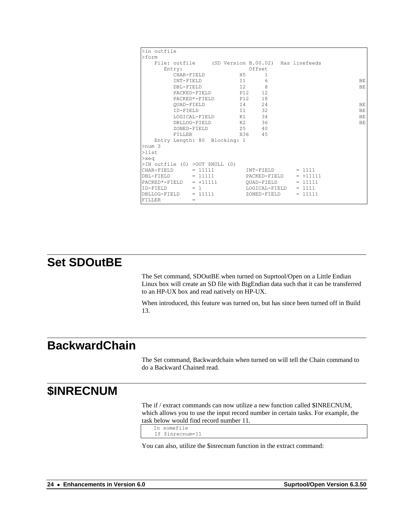| >in outfile                                      |               |                 |               |            |     |
|--------------------------------------------------|---------------|-----------------|---------------|------------|-----|
| $>$ form                                         |               |                 |               |            |     |
| File: outfile (SD Version B.00.02) Has linefeeds |               |                 |               |            |     |
| Entry:                                           |               |                 | Offset        |            |     |
| CHAR-FIELD                                       |               | X5              | 1             |            |     |
| TNT-FTELD                                        |               | T1 1            | 6             |            | BE  |
| DBL-FIELD                                        |               | I2              | 8             |            | BE  |
|                                                  | PACKED-FIELD  | P12             | 12            |            |     |
|                                                  | PACKED*-FIELD | P12             | 18            |            |     |
| OUAD-FIELD                                       |               |                 | 24<br>I4      |            | BE  |
| ID-FIELD                                         |               | $\overline{11}$ | 32            |            | BЕ  |
|                                                  | LOGICAL-FIELD | K1              | 34            |            | BE. |
| DBLLOG-FIELD                                     |               | K2              | 36            |            | ΒE  |
| ZONED-FIELD                                      |               | Z5              | - 40          |            |     |
| <b>FILLER</b>                                    |               |                 | X36 45        |            |     |
| Entry Length: 80 Blocking: 1                     |               |                 |               |            |     |
| >num 3                                           |               |                 |               |            |     |
| $>$ list                                         |               |                 |               |            |     |
| $>$ xeq                                          |               |                 |               |            |     |
| $>$ IN outfile (0) $>$ OUT \$NULL (0)            |               |                 |               |            |     |
| CHAR-FIELD                                       | $= 11111$     |                 | TNT-FTELD     | $= 1111$   |     |
| DBL-FIELD                                        | $= 11111$     |                 | PACKED-FIELD  | $= +11111$ |     |
| $PACKED*-FIELD = +11111$                         |               |                 | QUAD-FIELD    | $= 11111$  |     |
| $TD - FTRID = 1$                                 |               |                 | LOGICAL-FIELD | $= 1111$   |     |
| $DBLLOG-FIELD$ = 11111                           |               |                 | ZONED-FIELD   | $= 11111$  |     |
| FILLER                                           | =             |                 |               |            |     |

## <span id="page-23-0"></span>**Set SDOutBE**

The Set command, SDOutBE when turned on Suprtool/Open on a Little Endian Linux box will create an SD file with BigEndian data such that it can be transferred to an HP-UX box and read natively on HP-UX.

When introduced, this feature was turned on, but has since been turned off in Build 13.

## <span id="page-23-1"></span>**BackwardChain**

The Set command, Backwardchain when turned on will tell the Chain command to do a Backward Chained read.

#### <span id="page-23-2"></span>**\$INRECNUM**

The if / extract commands can now utilize a new function called \$INRECNUM, which allows you to use the input record number in certain tasks. For example, the task below would find record number 11.

```
In somefile
 If $inrecnum=11
```
You can also, utilize the \$inrecnum function in the extract command: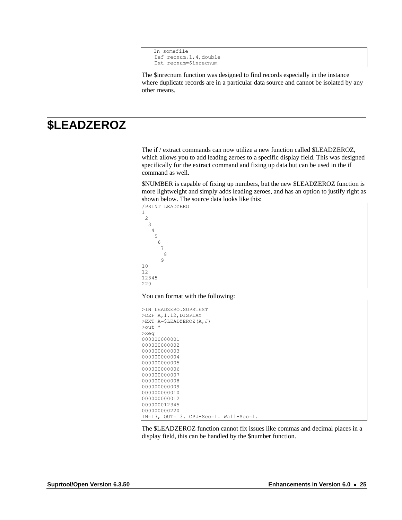```
In somefile
 Def recnum,1,4,double
 Ext recnum=$inrecnum
```
The \$inrecnum function was designed to find records especially in the instance where duplicate records are in a particular data source and cannot be isolated by any other means.

## <span id="page-24-0"></span>**\$LEADZEROZ**

The if / extract commands can now utilize a new function called \$LEADZEROZ, which allows you to add leading zeroes to a specific display field. This was designed specifically for the extract command and fixing up data but can be used in the if command as well.

\$NUMBER is capable of fixing up numbers, but the new \$LEADZEROZ function is more lightweight and simply adds leading zeroes, and has an option to justify right as shown below. The source data looks like this:





1 2 3

10 12

220

| >IN LEADZERO.SUPRTEST                 |
|---------------------------------------|
| >DEF A, 1, 12, DISPLAY                |
| >EXT A=\$LEADZEROZ(A,J)               |
| $\star$<br>$>$ $\circ$ ut.            |
| $>$ xeq                               |
| 000000000001                          |
| 000000000002                          |
| 000000000003                          |
| 000000000004                          |
| 000000000005                          |
| 000000000006                          |
| 000000000007                          |
| 000000000008                          |
| 000000000009                          |
| 000000000010                          |
| 000000000012                          |
| 000000012345                          |
| 000000000220                          |
| IN=13, OUT=13. CPU-Sec=1. Wall-Sec=1. |

The \$LEADZEROZ function cannot fix issues like commas and decimal places in a display field, this can be handled by the \$number function.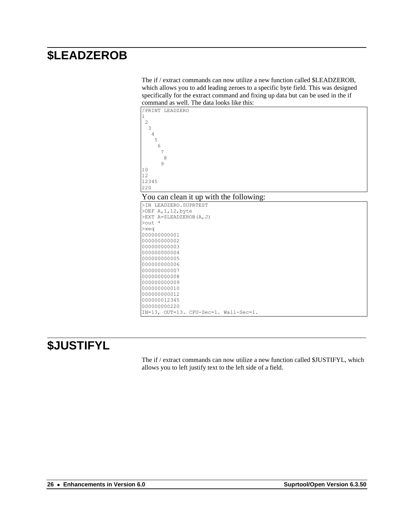## <span id="page-25-0"></span>**\$LEADZEROB**

The if / extract commands can now utilize a new function called \$LEADZEROB, which allows you to add leading zeroes to a specific byte field. This was designed specifically for the extract command and fixing up data but can be used in the if command as well. The data looks like this:





| >IN LEADZERO.SUPRTEST                 |  |  |
|---------------------------------------|--|--|
| $>$ DEF A, 1, 12, byte                |  |  |
| $>$ EXT A= $$LEADZEROB(A,J)$          |  |  |
| $\text{Out}$ *                        |  |  |
| $>$ xeq                               |  |  |
| 000000000001                          |  |  |
| 000000000002                          |  |  |
| 000000000003                          |  |  |
| 000000000004                          |  |  |
| 000000000005                          |  |  |
| 000000000006                          |  |  |
| 000000000007                          |  |  |
| 000000000008                          |  |  |
| 000000000009                          |  |  |
| 000000000010                          |  |  |
| 000000000012                          |  |  |
| 000000012345                          |  |  |
| 000000000220                          |  |  |
| IN=13, OUT=13. CPU-Sec=1. Wall-Sec=1. |  |  |

## <span id="page-25-1"></span>**\$JUSTIFYL**

The if / extract commands can now utilize a new function called \$JUSTIFYL, which allows you to left justify text to the left side of a field.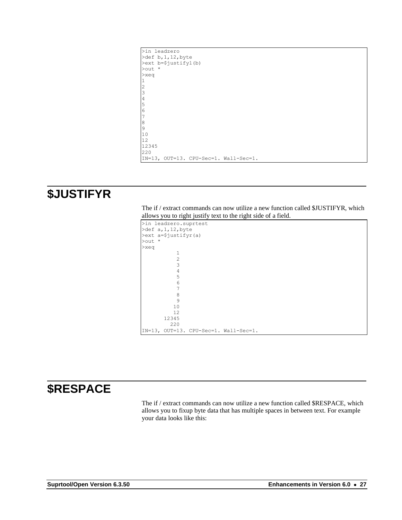| >in leadzero                          |
|---------------------------------------|
| $\text{Def } b, 1, 12, \text{byte}$   |
| >ext b=\$justifyl(b)                  |
| $\text{Out}$ *                        |
| $>$ xeq                               |
|                                       |
| $\overline{c}$                        |
| 3                                     |
| $\sqrt{4}$                            |
| 5                                     |
| $6\phantom{.}6$                       |
|                                       |
| $\boldsymbol{8}$                      |
| $\overline{9}$                        |
| 10                                    |
| 12                                    |
| 12345                                 |
| 220                                   |
| IN=13, OUT=13. CPU-Sec=1. Wall-Sec=1. |

## <span id="page-26-0"></span>**\$JUSTIFYR**

 $>$  $\mathbf{r}$ 

The if / extract commands can now utilize a new function called \$JUSTIFYR, which allows you to right justify text to the right side of a field.

|         | >in leadzero.suprtest                |                                       |  |  |  |
|---------|--------------------------------------|---------------------------------------|--|--|--|
|         | $\text{odef } a, 1, 12, \text{byte}$ |                                       |  |  |  |
|         | >ext a=\$justifyr(a)                 |                                       |  |  |  |
| >out *  |                                      |                                       |  |  |  |
| $>$ xeq |                                      |                                       |  |  |  |
|         | 1                                    |                                       |  |  |  |
|         | $\overline{2}$                       |                                       |  |  |  |
|         | 3                                    |                                       |  |  |  |
|         | $\overline{4}$                       |                                       |  |  |  |
|         | 5                                    |                                       |  |  |  |
|         | 6                                    |                                       |  |  |  |
|         | 7                                    |                                       |  |  |  |
|         | 8                                    |                                       |  |  |  |
|         | 9                                    |                                       |  |  |  |
|         | 10                                   |                                       |  |  |  |
|         | 12                                   |                                       |  |  |  |
|         | 12345                                |                                       |  |  |  |
|         | 220                                  |                                       |  |  |  |
|         |                                      | IN=13, OUT=13. CPU-Sec=1. Wall-Sec=1. |  |  |  |

## <span id="page-26-1"></span>**\$RESPACE**

The if / extract commands can now utilize a new function called \$RESPACE, which allows you to fixup byte data that has multiple spaces in between text. For example your data looks like this: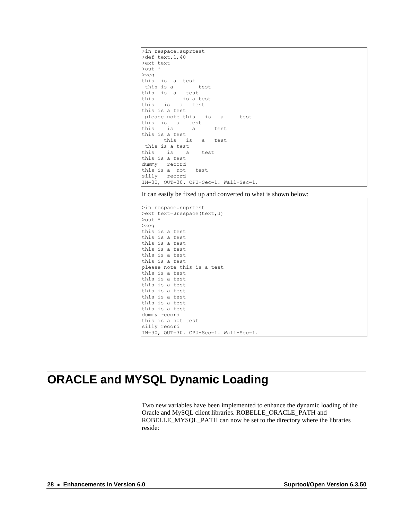```
>in respace.suprtest
>def text,1,40
>ext text
>out *
>xeq
this is a test
 this is a test
this is a test
this is a test
this is a test
this is a test
please note this is a test
this is a test
this is a test
this is a test
      this is a test
this is a test
this is a test
this is a test
dummy record
this is a not test
silly record
IN=30, OUT=30. CPU-Sec=1. Wall-Sec=1.
```
It can easily be fixed up and converted to what is shown below:

>in respace.suprtest >ext text=\$respace(text,J) >out \* >xeq this is a test this is a test this is a test this is a test this is a test this is a test please note this is a test this is a test this is a test this is a test this is a test this is a test this is a test this is a test dummy record this is a not test silly record IN=30, OUT=30. CPU-Sec=1. Wall-Sec=1.

## <span id="page-27-0"></span>**ORACLE and MYSQL Dynamic Loading**

Two new variables have been implemented to enhance the dynamic loading of the Oracle and MySQL client libraries. ROBELLE\_ORACLE\_PATH and ROBELLE\_MYSQL\_PATH can now be set to the directory where the libraries reside: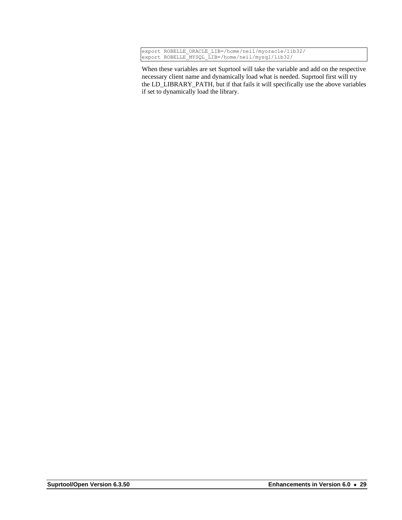|  | export ROBELLE ORACLE LIB=/home/neil/myoracle/lib32/ |
|--|------------------------------------------------------|
|  | export ROBELLE MYSQL LIB=/home/neil/mysql/lib32/     |

When these variables are set Suprtool will take the variable and add on the respective necessary client name and dynamically load what is needed. Suprtool first will try the LD\_LIBRARY\_PATH, but if that fails it will specifically use the above variables if set to dynamically load the library.